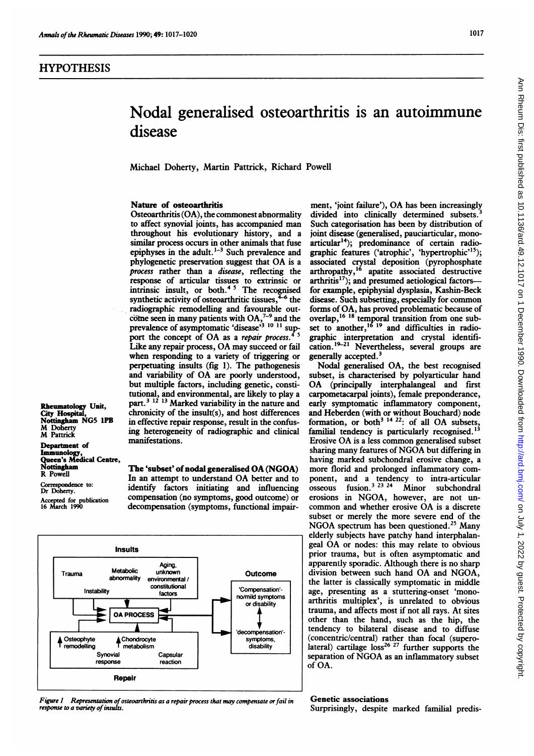# Ann Rheum Dis: first published as 10.1136/ard.49.12.1017 on 1 December 1990. Downloaded from http://ard.bmj.com/ on July 1, 2022 by guest. Protected by copyright Ann Rheum Dis: first published as 10.1136/ard.49.12.1017 on 1 December 1990. Downloaded from <http://ard.bmj.com/> on July 1, 2022 by guest. Protected by copyright.

# Nodal generalised osteoarthritis is an autoimmune disease

Michael Doherty, Martin Pattrick, Richard Powell

### Nature of osteoarthritis

Osteoarthritis (OA), the commonest abnormality to affect synovial joints, has accompanied man throughout his evolutionary history, and a similar process occurs in other animals that fuse epiphyses in the adult. $1-3$  Such prevalence and phylogenetic preservation suggest that OA is <sup>a</sup> process rather than a disease, reflecting the response of articular tissues to extrinsic or intrinsic insult, or both.<sup>4</sup><sup>3</sup> The recognised synthetic activity of osteoarthritic tissues,  $46$  the radiographic remodelling and favourable outcome seen in many patients with  $OA<sub>1</sub><sup>7-9</sup>$  and the prevalence of asymptomatic 'disease'<sup>3</sup> <sup>10</sup> <sup>11</sup> support the concept of OA as a repair process.<sup>45</sup> Like any repair process, OA may succeed or fail when responding to a variety of triggering or perpetuating insults (fig 1). The pathogenesis and variability of OA are poorly understood, but multiple factors, including genetic, constitutional, and environmental, are likely to play a part.3 <sup>12</sup> <sup>13</sup> Marked variability in the nature and chronicity of the insult(s), and host differences in effective repair response, result in the confusing heterogeneity of radiographic and clinical manifestations.

Rheumatology Unit, City Hospital, Nottingham NG5 1PB M Doherty M Pattrick Department of

Immunology,<br>Queen's Medical Centre,<br>Nottingham R Powell

Correspondence to: Dr Doherty. Accepted for publication 16 March 1990

The 'subset' of nodal generalised OA (NGOA) In an attempt to understand OA better and to identify factors initiating and influencing compensation (no symptoms, good outcome) or decompensation (symptoms, functional impair-



Figure 1 Representation of osteoarthritis as a repair process that may compensate or fail in response to a variety of insults.

ment, 'joint failure'), OA has been increasingly divided into clinically determined subsets.<sup>3</sup> Such categorisation has been by distribution of joint disease (generalised, pauciarticular, monoarticular<sup>14</sup>); predominance of certain radiographic features ('atrophic', 'hypertrophic'<sup>15</sup>); associated crystal deposition (pyrophosphate arthropathy,<sup>26</sup> apatite associated destructive  $arthriis<sup>17</sup>$ ; and presumed aetiological factors-for example, epiphysial dysplasia, Kashin-Beck disease. Such subsetting, especially for common forms of OA, has proved problematic because of overlap,'6 <sup>18</sup> temporal transition from one subset to another,<sup>10</sup> <sup>19</sup> and difficulties in radiographic interpretation and crystal identification.<sup>19-21</sup> Nevertheless, several groups are generally accepted.<sup>3</sup>

Nodal generalised OA, the best recognised subset, is characterised by polyarticular hand OA (principally interphalangeal and first carpometacarpal joints), female preponderance, early symptomatic inflammatory component, and Heberden (with or without Bouchard) node formation, or both<sup>3 14 22</sup>: of all OA subsets, familial tendency is particularly recognised.'3 Erosive OA is <sup>a</sup> less common generalised subset sharing many features of NGOA but differing in having marked subchondral erosive change, a more florid and prolonged inflammatory component, and a tendency to intra-articular osseous fusion.3 <sup>23</sup> <sup>24</sup> Minor subchondral erosions in NGOA, however, are not uncommon and whether erosive OA is <sup>a</sup> discrete subset or merely the more severe end of the NGOA spectrum has been questioned.<sup>25</sup> Many elderly subjects have patchy hand interphalangeal OA or nodes: this may relate to obvious prior trauma, but is often asymptomatic and apparently sporadic. Although there is no sharp division between such hand OA and NGOA, the latter is classically symptomatic in middle age, presenting as a stuttering-onset 'monoarthritis multiplex', is unrelated to obvious trauma, and affects most if not all rays. At sites other than the hand, such as the hip, the tendency to bilateral disease and to diffuse (concentric/central) rather than focal (supero- $\frac{1}{2}$  carrilage loss<sup>26 27</sup> further supports the separation of NGOA as an inflammatory subset of OA.

### Genetic associations

Surprisingly, despite marked familial predis-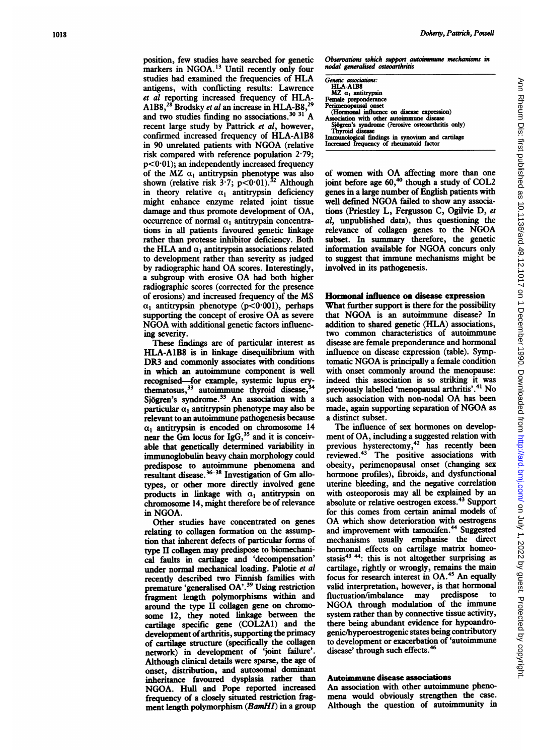position, few studies have searched for genetic markers in NGOA.<sup>13</sup> Until recently only four studies had examined the frequencies of HLA antigens, with conflicting results: Lawrence et al reporting increased frequency of HLA-A1B8,<sup>28</sup> Brodsky et al an increase in HLA-B8,<sup>29</sup> and two studies finding no associations.<sup>30</sup><sup>31</sup> A recent large study by Pattrick et al, however, confirmed increased frequency of HLA-AlB8 in <sup>90</sup> unrelated patients with NGOA (relative risk compared with reference population 2-79;  $p < 0.01$ ); an independently increased frequency of the MZ  $\alpha_1$  antitrypsin phenotype was also shown (relative risk  $3.7$ ; p<0.01).<sup>32</sup> Although in theory relative  $\alpha_1$  antitrypsin deficiency might enhance enzyme related joint tissue damage and thus promote development of OA, occurrence of normal  $\alpha_1$  antitrypsin concentrations in all patients favoured genetic linkage rather than protease inhibitor deficiency. Both the HLA and  $\alpha_1$  antitrypsin associations related to development rather than severity as judged by radiographic hand OA scores. Interestingly, <sup>a</sup> subgroup with erosive OA had both higher radiographic scores (corrected for the presence of erosions) and increased frequency of the MS  $\alpha_1$  antitrypsin phenotype (p<0.001), perhaps supporting the concept of erosive OA as severe NGOA with additional genetic factors influencing severity.

These findings are of particular interest as HLA-AlB8 is in linkage disequilibrium with DR3 and commonly associates with conditions in which an autoimmune component is well recognised-for example, systemic lupus erythematosus,<sup>33</sup> autoimmune thyroid disease, Sjögren's syndrome.<sup>33</sup> An association with a particular  $\alpha_1$  antitrypsin phenotype may also be relevant to an autoimmune pathogenesis because  $\alpha_1$  antitrypsin is encoded on chromosome 14 near the Gm locus for  $IgG<sub>3</sub><sup>35</sup>$  and it is conceivable that genetically determined variability in immunoglobulin heavy chain morphology could predispose to autoimmune phenomena and resultant disease.<sup>36-38</sup> Investigation of Gm allotypes, or other more directly involved gene products in linkage with  $\alpha_1$  antitrypsin on chromosome 14, might therefore be of relevance in NGOA.

Other studies have concentrated on genes relating to collagen formation on the assumption that inherent defects of particular forms of type II collagen may predispose to biomechanical faults in cartilage and 'decompensation' under normal mechanical loading. Palotie et al recently described two Finnish families with premature 'generalised OA'.39 Using restriction fragment length polymorphisms within and around the type II collagen gene on chromosome 12, they noted linkage between the cartilage specific gene (COL2A1) and the development of arthritis, supporting the primacy of cartilage structure (specifically the collagen network) in development of 'joint failure'. Although clinical details were sparse, the age of onset, distribution, and autosomal dominant inheritance favoured dysplasia rather than NGOA. Hull and Pope reported increased frequency of a closely situated restriction fragment length polymorphism (BamHI) in a group

Observations which support autoimmune mechanisms in nodal generalised osteoarthritis

| Genetic associations:<br>HLA-A1B8<br>$MZ \alpha_1$ antitrypsin |  |
|----------------------------------------------------------------|--|
| Female preponderance                                           |  |
| Perimenopausal onset                                           |  |
| (Hormonal influence on disease expression)                     |  |
| Association with other autoimmune disease                      |  |
| Sjögren's syndrome (?erosive osteoarthritis only)              |  |
| Thyroid disease                                                |  |
| Immunological findings in synovium and cartilage               |  |
| Increased frequency of rheumatoid factor                       |  |

of women with OA affecting more than one joint before age  $60<sup>40</sup>$  though a study of COL2 genes in a large number of English patients with well defined NGOA failed to show any associations (Priestley L, Fergusson C, Ogilvie D, et al, unpublished data), thus questioning the relevance of collagen genes to the NGOA subset. In summary therefore, the genetic information available for NGOA concurs only to suggest that immune mechanisms might be involved in its pathogenesis.

## Hormonal influence on disease expression

What further support is there for the possibility that NGOA is an autoimmune disease? In addition to shared genetic (HLA) associations, two common characteristics of autoimmune disease are female preponderance and hormonal influence on disease expression (table). Symptomatic NGOA is principally <sup>a</sup> female condition with onset commonly around the menopause: indeed this association is so striking it was previously labelled 'menopausal arthritis'.<sup>41</sup> No such association with non-nodal OA has been made, again supporting separation of NGOA as a distinct subset.

The influence of sex hormones on development of OA, including a suggested relation with previous hysterectomy,<sup>42</sup> has recently been reviewed.43 The positive associations with obesity, perimenopausal onset (changing sex hormone profiles), fibroids, and dysfunctional uterine bleeding, and the negative correlation with osteoporosis may all be explained by an absolute or relative oestrogen excess.43 Support for this comes from certain animal models of OA which show deterioration with oestrogens and improvement with tamoxifen.<sup>44</sup> Suggested mechanisms usually emphasise the direct hormonal effects on cartilage matrix homeostasis $43$   $44$ : this is not altogether surprising as cartilage, rightly or wrongly, remains the main focus for research interest in OA.45 An equally valid interpretation, however, is that hormonal<br>fluctuation/imbalance may predispose to fluctuation/imbalance may predispose NGOA through modulation of the immune system rather than by connective tissue activity, there being abundant evidence for hypoandrogenic/hyperoestrogenic states being contributory to development or exacerbation of 'autoimmune disease' through such effects.<sup>4</sup>

# Auto'nmune disease associations

An association with other autoimmune phenomena would obviously strengthen the case. Although the question of autoimmunity in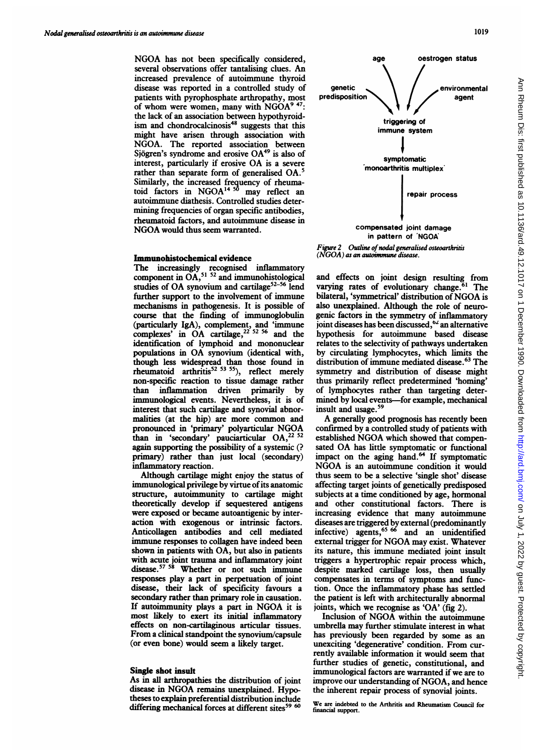NGOA has not been specifically considered, several observations offer tantalising clues. An increased prevalence of autoimmune thyroid disease was reported in a controlled study of patients with pyrophosphate arthropathy, most of whom were women, many with NGOA<sup>9 47</sup>: the lack of an association between hypothyroidism and chondrocalcinosis<sup>48</sup> suggests that this might have arisen through association with NGOA. The reported association between Sjögren's syndrome and erosive OA<sup>49</sup> is also of interest, particularly if erosive OA is <sup>a</sup> severe rather than separate form of generalised OA.' Similarly, the increased frequency of rheumatoid factors in NGOA'4 <sup>50</sup> may reflect an autoimmune diathesis. Controlled studies determining frequencies of organ specific antibodies, rheumatoid factors, and autoimmune disease in NGOA would thus seem warranted.

### Immunohistochemical evidence

The increasingly recognised inflammatory component in  $OA<sub>2</sub><sup>51-52</sup>$  and immunohistological studies of OA synovium and cartilage<sup>52-56</sup> lend further support to the involvement of immune mechanisms in pathogenesis. It is possible of course that the finding of immunoglobulin (particularly  $IgA$ ), complement, and 'immune complexes' in OA cartilage,  $2^{22}$  52 56 and the identification of lymphoid and mononuclear populations in OA synovium (identical with, though less widespread than those found in rheumatoid arthritis<sup>32</sup> <sup>53</sup> 53<sup>5</sup>), reflect merely non-specific reaction to tissue damage rather than inflammation driven primarily by immunological events. Nevertheless, it is of interest that such cartilage and synovial abnormalities (at the hip) are more common and pronounced in 'primary' polyarticular NGOA than in 'secondary' pauciarticular  $OA<sub>z</sub><sup>22</sup>$ again supporting the possibility of a systemic (? primary) rather than just local (secondary) inflammatory reaction.

Although cartilage might enjoy the status of immunological privilege by virtue of its anatomic structure, autoimmunity to cartilage might theoretically develop if sequestered antigens were exposed or became autoantigenic by interaction with exogenous or intrinsic factors. Anticollagen antibodies and cell mediated immmune responses to collagen have indeed been shown in patients with OA, but also in patients with acute joint trauma and inflammatory joint disease.<sup>57</sup> <sup>58</sup> Whether or not such immune responses play a part in perpetuation of joint disease, their lack of specificity favours a secondary rather than primary role in causation. If autoimmunity plays <sup>a</sup> part in NGOA it is most likely to exert its initial inflammatory effects on non-cartilaginous articular tissues. From a clinical standpoint the synovium/capsule (or even bone) would seem a likely target.

### Single shot insult

As in all arthropathies the distribution of joint disease in NGOA remains unexplained. Hypotheses to explain preferential distribution include differing mechanical forces at different sites<sup>59 60</sup>



 $(NGOA)$  as an autoimmune disease.

and effects on joint design resulting from varying rates of evolutionary change.<sup>61</sup> The bilateral, 'symmetrical' distribution of NGOA is also unexplained. Although the role of neurogenic factors in the symmetry of inflammatory joint diseases has been discussed,<sup>62</sup> an alternative hypothesis for autoimmune based disease relates to the selectivity of pathways undertaken by circulating lymphocytes, which limits the distribution of immune mediated disease.<sup>63</sup> The symmetry and distribution of disease might thus primarily reflect predetermined 'homing' of lymphocytes rather than targeting determined by local events-for example, mechanical insult and usage.<sup>59</sup>

A generally good prognosis has recently been confirmed by a controlled study of patients with established NGOA which showed that compensated OA has little symptomatic or functional impact on the aging hand.<sup>64</sup> If symptomatic NGOA is an autoimmune condition it would thus seem to be a selective 'single shot' disease affecting target joints of genetically predisposed subjects at a time conditioned by age, hormonal and other constitutional factors. There is increasing evidence that many autoimmune diseases are triggered by external (predominantly infective) agents,<sup>65</sup> <sup>66</sup> and an unidentified external trigger for NGOA may exist. Whatever its nature, this immune mediated joint insult triggers a hypertrophic repair process which, despite marked cartilage loss, then usually compensates in terms of symptoms and function. Once the inflammatory phase has settled the patient is left with architecturally abnormal joints, which we recognise as 'OA' (fig 2).

Inclusion of NGOA within the autoimmune umbrella may further stimulate interest in what has previously been regarded by some as an unexciting 'degenerative' condition. From currently available information it would seem that further studies of genetic, constitutional, and immunological factors are warranted if we are to improve our understanding of NGOA, and hence the inherent repair process of synovial joints.

We are indebted to the Arthritis and Rheumatism Council for financial support.